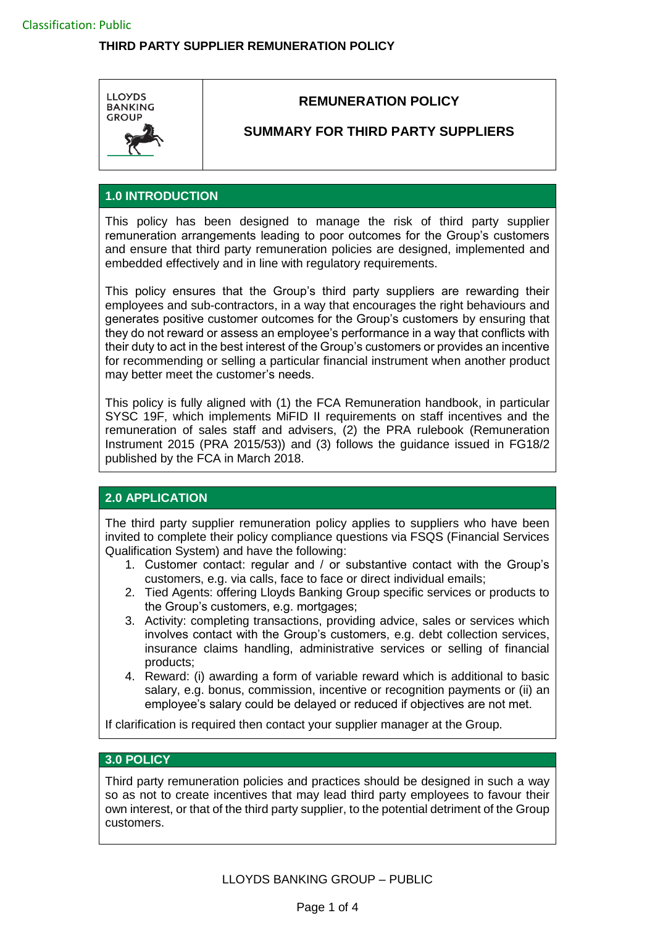**LLOYDS BANKING GROUP** 

# **REMUNERATION POLICY**

# **SUMMARY FOR THIRD PARTY SUPPLIERS**

#### **1.0 INTRODUCTION**

This policy has been designed to manage the risk of third party supplier remuneration arrangements leading to poor outcomes for the Group's customers and ensure that third party remuneration policies are designed, implemented and embedded effectively and in line with regulatory requirements.

This policy ensures that the Group's third party suppliers are rewarding their employees and sub-contractors, in a way that encourages the right behaviours and generates positive customer outcomes for the Group's customers by ensuring that they do not reward or assess an employee's performance in a way that conflicts with their duty to act in the best interest of the Group's customers or provides an incentive for recommending or selling a particular financial instrument when another product may better meet the customer's needs.

This policy is fully aligned with (1) the FCA Remuneration handbook, in particular SYSC 19F, which implements MiFID II requirements on staff incentives and the remuneration of sales staff and advisers, (2) the PRA rulebook (Remuneration Instrument 2015 (PRA 2015/53)) and (3) follows the guidance issued in FG18/2 published by the FCA in March 2018.

#### **2.0 APPLICATION**

The third party supplier remuneration policy applies to suppliers who have been invited to complete their policy compliance questions via FSQS (Financial Services Qualification System) and have the following:

- 1. Customer contact: regular and / or substantive contact with the Group's customers, e.g. via calls, face to face or direct individual emails;
- 2. Tied Agents: offering Lloyds Banking Group specific services or products to the Group's customers, e.g. mortgages;
- 3. Activity: completing transactions, providing advice, sales or services which involves contact with the Group's customers, e.g. debt collection services, insurance claims handling, administrative services or selling of financial products;
- 4. Reward: (i) awarding a form of variable reward which is additional to basic salary, e.g. bonus, commission, incentive or recognition payments or (ii) an employee's salary could be delayed or reduced if objectives are not met.

If clarification is required then contact your supplier manager at the Group.

#### **3.0 POLICY**

Third party remuneration policies and practices should be designed in such a way so as not to create incentives that may lead third party employees to favour their own interest, or that of the third party supplier, to the potential detriment of the Group customers.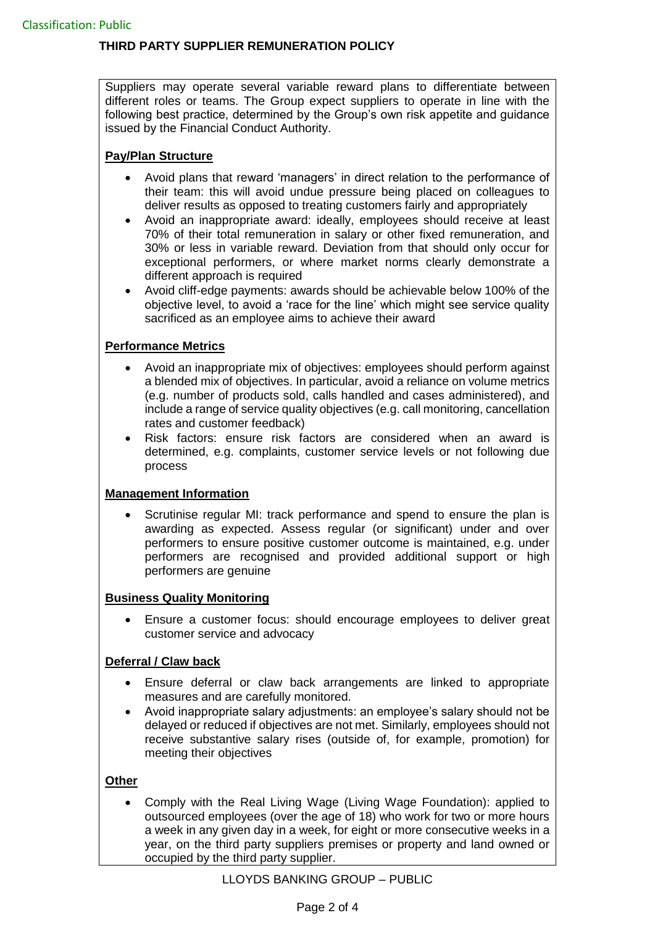Suppliers may operate several variable reward plans to differentiate between different roles or teams. The Group expect suppliers to operate in line with the following best practice, determined by the Group's own risk appetite and guidance issued by the Financial Conduct Authority.

### **Pay/Plan Structure**

- Avoid plans that reward 'managers' in direct relation to the performance of their team: this will avoid undue pressure being placed on colleagues to deliver results as opposed to treating customers fairly and appropriately
- Avoid an inappropriate award: ideally, employees should receive at least 70% of their total remuneration in salary or other fixed remuneration, and 30% or less in variable reward. Deviation from that should only occur for exceptional performers, or where market norms clearly demonstrate a different approach is required
- Avoid cliff-edge payments: awards should be achievable below 100% of the objective level, to avoid a 'race for the line' which might see service quality sacrificed as an employee aims to achieve their award

### **Performance Metrics**

- Avoid an inappropriate mix of objectives: employees should perform against a blended mix of objectives. In particular, avoid a reliance on volume metrics (e.g. number of products sold, calls handled and cases administered), and include a range of service quality objectives (e.g. call monitoring, cancellation rates and customer feedback)
- Risk factors: ensure risk factors are considered when an award is determined, e.g. complaints, customer service levels or not following due process

#### **Management Information**

 Scrutinise regular MI: track performance and spend to ensure the plan is awarding as expected. Assess regular (or significant) under and over performers to ensure positive customer outcome is maintained, e.g. under performers are recognised and provided additional support or high performers are genuine

#### **Business Quality Monitoring**

 Ensure a customer focus: should encourage employees to deliver great customer service and advocacy

#### **Deferral / Claw back**

- Ensure deferral or claw back arrangements are linked to appropriate measures and are carefully monitored.
- Avoid inappropriate salary adjustments: an employee's salary should not be delayed or reduced if objectives are not met. Similarly, employees should not receive substantive salary rises (outside of, for example, promotion) for meeting their objectives

#### **Other**

 Comply with the Real Living Wage (Living Wage Foundation): applied to outsourced employees (over the age of 18) who work for two or more hours a week in any given day in a week, for eight or more consecutive weeks in a year, on the third party suppliers premises or property and land owned or occupied by the third party supplier.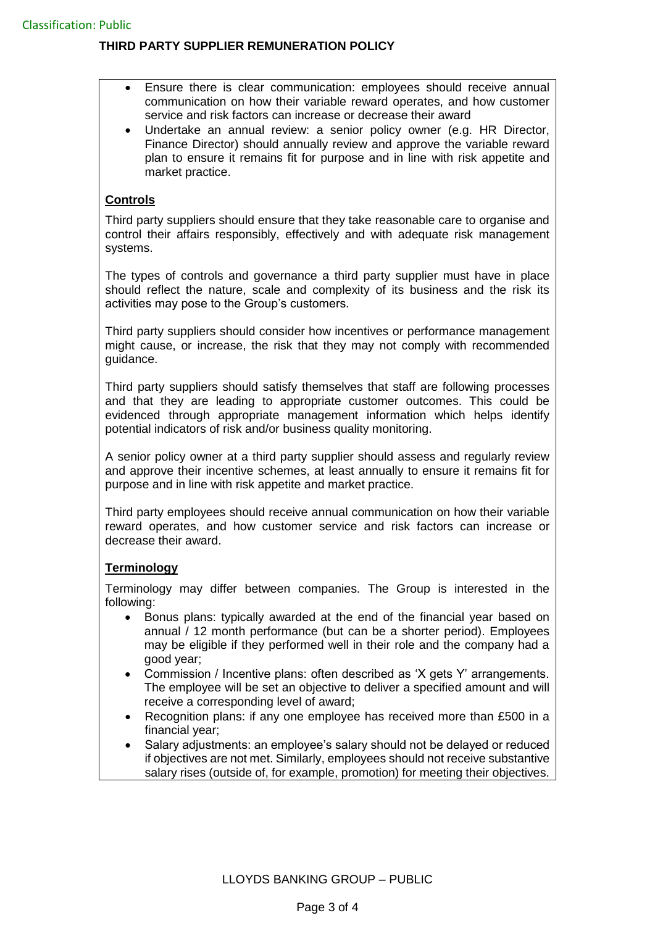- Ensure there is clear communication: employees should receive annual communication on how their variable reward operates, and how customer service and risk factors can increase or decrease their award
- Undertake an annual review: a senior policy owner (e.g. HR Director, Finance Director) should annually review and approve the variable reward plan to ensure it remains fit for purpose and in line with risk appetite and market practice.

### **Controls**

Third party suppliers should ensure that they take reasonable care to organise and control their affairs responsibly, effectively and with adequate risk management systems.

The types of controls and governance a third party supplier must have in place should reflect the nature, scale and complexity of its business and the risk its activities may pose to the Group's customers.

Third party suppliers should consider how incentives or performance management might cause, or increase, the risk that they may not comply with recommended guidance.

Third party suppliers should satisfy themselves that staff are following processes and that they are leading to appropriate customer outcomes. This could be evidenced through appropriate management information which helps identify potential indicators of risk and/or business quality monitoring.

A senior policy owner at a third party supplier should assess and regularly review and approve their incentive schemes, at least annually to ensure it remains fit for purpose and in line with risk appetite and market practice.

Third party employees should receive annual communication on how their variable reward operates, and how customer service and risk factors can increase or decrease their award.

## **Terminology**

Terminology may differ between companies. The Group is interested in the following:

- Bonus plans: typically awarded at the end of the financial year based on annual / 12 month performance (but can be a shorter period). Employees may be eligible if they performed well in their role and the company had a good year;
- Commission / Incentive plans: often described as 'X gets Y' arrangements. The employee will be set an objective to deliver a specified amount and will receive a corresponding level of award;
- Recognition plans: if any one employee has received more than £500 in a financial year;
- Salary adjustments: an employee's salary should not be delayed or reduced if objectives are not met. Similarly, employees should not receive substantive salary rises (outside of, for example, promotion) for meeting their objectives.